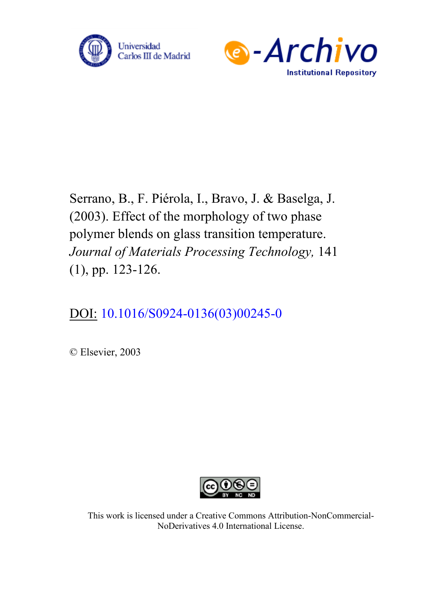



Serrano, B., F. Piérola, I., Bravo, J. & Baselga, J. (2003). Effect of the morphology of two phase polymer blends on glass transition temperature. *Journal of Materials Processing Technology,* 141 (1), pp. 123-126.

# DOI: [10.1016/S0924-0136\(03\)00245-0](https://doi.org/10.1016/S0924-0136(03)00245-0)

© Elsevier, 2003



This work is licensed under a Creative Commons Attribution-NonCommercial-NoDerivatives 4.0 International License.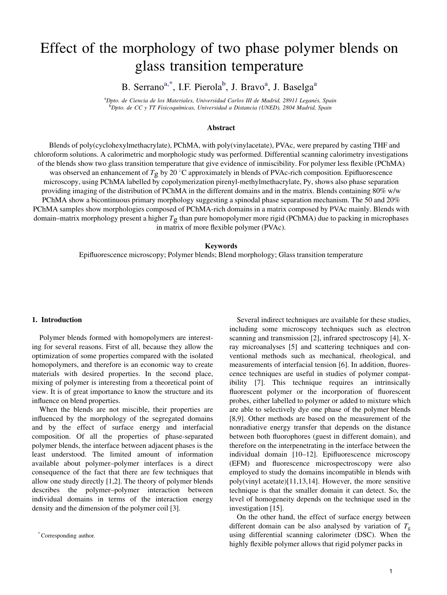# Effect of the morphology of two phase polymer blends on glass transition temperature

B. Serrano<sup>a,\*</sup>, I.F. Pierola<sup>b</sup>, J. Bravo<sup>a</sup>, J. Baselga<sup>a</sup>

<sup>a</sup>Dpto. de Ciencia de los Materiales, Universidad Carlos III de Madrid, 28911 Leganés, Spain <sup>b</sup>Dpto. de CC y TT Fisicoquímicas, Universidad a Distancia (UNED), 2804 Madrid, Spain

#### **Abstract**

Blends of poly(cyclohexylmethacrylate), PChMA, with poly(vinylacetate), PVAc, were prepared by casting THF and chloroform solutions. A calorimetric and morphologic study was performed. Differential scanning calorimetry investigations of the blends show two glass transition temperature that give evidence of inmiscibility. For polymer less flexible (PChMA) was observed an enhancement of  $T_g$  by 20 °C approximately in blends of PVAc-rich composition. Epifluorescence microscopy, using PChMA labelled by copolymerization pirenyl-methylmethacrylate, Py, shows also phase separation providing imaging of the distribution of PChMA in the different domains and in the matrix. Blends containing 80% w/w PChMA show a bicontinuous primary morphology suggesting a spinodal phase separation mechanism. The 50 and 20% PChMA samples show morphologies composed of PChMA-rich domains in a matrix composed by PVAc mainly. Blends with domain–matrix morphology present a higher  $T_g$  than pure homopolymer more rigid (PChMA) due to packing in microphases in matrix of more flexible polymer (PVAc).

## **Keywords**

Epifluorescence microscopy; Polymer blends; Blend morphology; Glass transition temperature

### 1. Introduction

Polymer blends formed with homopolymers are interesting for several reasons. First of all, because they allow the optimization of some properties compared with the isolated homopolymers, and therefore is an economic way to create materials with desired properties. In the second place, mixing of polymer is interesting from a theoretical point of view. It is of great importance to know the structure and its influence on blend properties.

When the blends are not miscible, their properties are influenced by the morphology of the segregated domains and by the effect of surface energy and interfacial composition. Of all the properties of phase-separated polymer blends, the interface between adjacent phases is the least understood. The limited amount of information available about polymer–polymer interfaces is a direct consequence of the fact that there are few techniques that allow one study directly [1,2]. The theory of polymer blends describes the polymer–polymer interaction between [indiv](#page-3-0)idual domains in terms of the interaction energy density and the dimension of the polymer coil [3].

Several indirect techniques are available for these studies, including some microscopy techniques such as electron scanning and transmission [2], infrared spectroscopy [4], Xray microanalyses [5] and [sca](#page-3-0)ttering techniques and conventional methods such as mechanical, rheological, [an](#page-4-0)d measurements of int[erfac](#page-4-0)ial tension [6]. In addition, fluorescence techniques are useful in studies of polymer compatibility [7]. This technique re[quir](#page-4-0)es an intrinsically fluore[scen](#page-4-0)t polymer or the incorporation of fluorescent probes, either labelled to polymer or added to mixture which are able to selectively dye one phase of the polymer blends [8,9]. Other methods are based on the measur[ement](#page-4-0) of the nonradiative energy transfer that depends on the distance between both fluorophores (guest in different domain), and therefore on the interpenetrating in the interface between the individual domain [10–12]. Epifluorescence microscopy (EFM) [and](#page-4-0) fluorescence microspectroscopy were also employed to study the domains incompatible in blends with poly(vinyl acetate)[11,13,14]. However, the more sensitive [technique](#page-4-0) is that the smaller domain it can detect. So, the level of homogeneity depends on the technique used in the investigation [15].

On the other hand, the effect of surface energy [betw](#page-4-0)een different domain can be also analysed by variation of  $T_g$ using differential scanning calorimeter (DSC). When the highly flexible polymer allows that rigid polymer packs in

<sup>\*</sup>Corresponding author.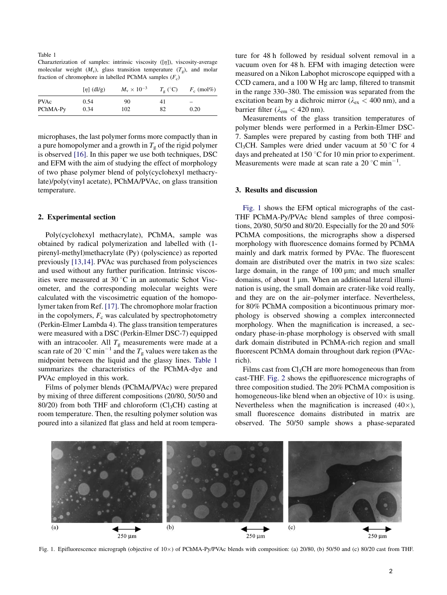<span id="page-2-0"></span>

| Table 1                                                                      |
|------------------------------------------------------------------------------|
| Charazterization of samples: intrinsic viscosity $( n )$ , viscosity-average |
| molecular weight $(M_v)$ , glass transition temperature $(T_o)$ , and molar  |
| fraction of chromophore in labelled PChMA samples $(F_c)$                    |

|             | $[\eta]$ (dl/g) | $M_{\rm v} \times 10^{-3}$ | $T_{\rm o}$ (°C) | $F_c$ (mol%)             |
|-------------|-----------------|----------------------------|------------------|--------------------------|
| <b>PVAc</b> | 0.54            | 90                         | 41               | $\overline{\phantom{0}}$ |
| PChMA-Py    | 0.34            | 102                        | 82               | 0.20                     |

microphases, the last polymer forms more compactly than in a pure homopolymer and a growth in  $T<sub>g</sub>$  of the rigid polymer is observed [\[16\].](#page-4-0) In this paper we use both techniques, DSC and EFM with the aim of studying the effect of morphology of two phase polymer blend of poly(cyclohexyl methacrylate)/poly(vinyl acetate), PChMA/PVAc, on glass transition temperature.

#### 2. Experimental section

Poly(cyclohexyl methacrylate), PChMA, sample was obtained by radical polymerization and labelled with (1 pirenyl-methyl)methacrylate (Py) (polyscience) as reported previously [\[13,14\]](#page-4-0). PVAc was purchased from polysciences and used without any further purification. Intrinsic viscosities were measured at  $30^{\circ}$ C in an automatic Schot Viscometer, and the corresponding molecular weights were calculated with the viscosimetric equation of the homopolymer taken from Ref. [\[17\]](#page-4-0). The chromophore molar fraction in the copolymers,  $F_c$  was calculated by spectrophotometry (Perkin-Elmer Lambda 4). The glass transition temperatures were measured with a DSC (Perkin-Elmer DSC-7) equipped with an intracooler. All  $T_{\rm g}$  measurements were made at a scan rate of 20 °C min<sup>-1</sup> and the  $T_g$  values were taken as the midpoint between the liquid and the glassy lines. Table 1 summarizes the characteristics of the PChMA-dye and PVAc employed in this work.

Films of polymer blends (PChMA/PVAc) were prepared by mixing of three different compositions (20/80, 50/50 and 80/20) from both THF and chloroform  $(Cl<sub>3</sub>CH)$  casting at room temperature. Then, the resulting polymer solution was poured into a silanized flat glass and held at room temperature for 48 h followed by residual solvent removal in a vacuum oven for 48 h. EFM with imaging detection were measured on a Nikon Labophot microscope equipped with a CCD camera, and a 100 W Hg arc lamp, filtered to transmit in the range 330–380. The emission was separated from the excitation beam by a dichroic mirror ( $\lambda_{\rm ex}$  < 400 nm), and a barrier filter ( $\lambda_{\rm em}$  < 420 nm).

Measurements of the glass transition temperatures of polymer blends were performed in a Perkin-Elmer DSC-7. Samples were prepared by casting from both THF and Cl<sub>3</sub>CH. Samples were dried under vacuum at 50  $\degree$ C for 4 days and preheated at 150  $\degree$ C for 10 min prior to experiment. Measurements were made at scan rate a  $20^{\circ}$ C min<sup>-1</sup>.

### 3. Results and discussion

Fig. 1 shows the EFM optical micrographs of the cast-THF PChMA-Py/PVAc blend samples of three compositions, 20/80, 50/50 and 80/20. Especially for the 20 and 50% PChMA compositions, the micrographs show a dispersed morphology with fluorescence domains formed by PChMA mainly and dark matrix formed by PVAc. The fluorescent domain are distributed over the matrix in two size scales: large domain, in the range of  $100 \mu m$ ; and much smaller domains, of about 1  $\mu$ m. When an additional lateral illumination is using, the small domain are crater-like void really, and they are on the air–polymer interface. Nevertheless, for 80% PChMA composition a bicontinuous primary morphology is observed showing a complex interconnected morphology. When the magnification is increased, a secondary phase-in-phase morphology is observed with small dark domain distributed in PChMA-rich region and small fluorescent PChMA domain throughout dark region (PVAcrich).

Films cast from  $Cl<sub>3</sub>CH$  are more homogeneous than from cast-THF. [Fig. 2](#page-3-0) shows the epifluorescence micrographs of three composition studied. The 20% PChMA composition is homogeneous-like blend when an objective of  $10\times$  is using. Nevertheless when the magnification is increased  $(40\times)$ , small fluorescence domains distributed in matrix are observed. The 50/50 sample shows a phase-separated



Fig. 1. Epifluorescence micrograph (objective of 10×) of PChMA-Py/PVAc blends with composition: (a) 20/80, (b) 50/50 and (c) 80/20 cast from THF.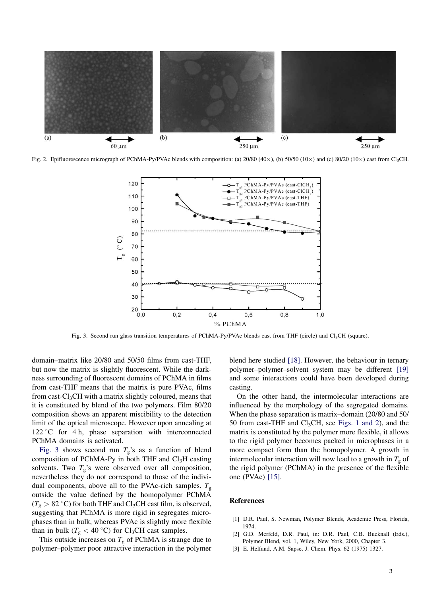<span id="page-3-0"></span>

Fig. 2. Epifluorescence micrograph of PChMA-Py/PVAc blends with composition: (a)  $20/80$  (40×), (b)  $50/50$  (10×) and (c)  $80/20$  (10×) cast from Cl<sub>3</sub>CH.



Fig. 3. Second run glass transition temperatures of PChMA-Py/PVAc blends cast from THF (circle) and Cl<sub>3</sub>CH (square).

domain–matrix like 20/80 and 50/50 films from cast-THF, but now the matrix is slightly fluorescent. While the darkness surrounding of fluorescent domains of PChMA in films from cast-THF means that the matrix is pure PVAc, films from cast- $Cl<sub>3</sub>CH$  with a matrix slightly coloured, means that it is constituted by blend of the two polymers. Film 80/20 composition shows an apparent miscibility to the detection limit of the optical microscope. However upon annealing at  $122 \degree C$  for 4 h, phase separation with interconnected PChMA domains is activated.

Fig. 3 shows second run  $T_g$ 's as a function of blend composition of PChMA-Py in both THF and  $Cl<sub>3</sub>H$  casting solvents. Two  $T_g$ 's were observed over all composition, nevertheless they do not correspond to those of the individual components, above all to the PVAc-rich samples.  $T_g$ outside the value defined by the homopolymer PChMA  $(T_g > 82 \text{ °C})$  for both THF and Cl<sub>3</sub>CH cast film, is observed, suggesting that PChMA is more rigid in segregates microphases than in bulk, whereas PVAc is slightly more flexible than in bulk ( $T_g < 40$  °C) for Cl<sub>3</sub>CH cast samples.

This outside increases on  $T_g$  of PChMA is strange due to polymer–polymer poor attractive interaction in the polymer blend here studied [\[18\].](#page-4-0) However, the behaviour in ternary polymer–polymer–solvent system may be different [\[19\]](#page-4-0) and some interactions could have been developed during casting.

On the other hand, the intermolecular interactions are influenced by the morphology of the segregated domains. When the phase separation is matrix–domain (20/80 and 50/ 50 from cast-THF and  $Cl<sub>3</sub>CH$ , see [Figs. 1 and 2](#page-2-0)), and the matrix is constituted by the polymer more flexible, it allows to the rigid polymer becomes packed in microphases in a more compact form than the homopolymer. A growth in intermolecular interaction will now lead to a growth in  $T_{\rm g}$  of the rigid polymer (PChMA) in the presence of the flexible one (PVAc) [\[15\]](#page-4-0).

#### References

- [1] D.R. Paul, S. Newman, Polymer Blends, Academic Press, Florida, 1974.
- [2] G.D. Merfeld, D.R. Paul, in: D.R. Paul, C.B. Bucknall (Eds.), Polymer Blend, vol. 1, Wiley, New York, 2000, Chapter 3.
- [3] E. Helfand, A.M. Sapse, J. Chem. Phys. 62 (1975) 1327.